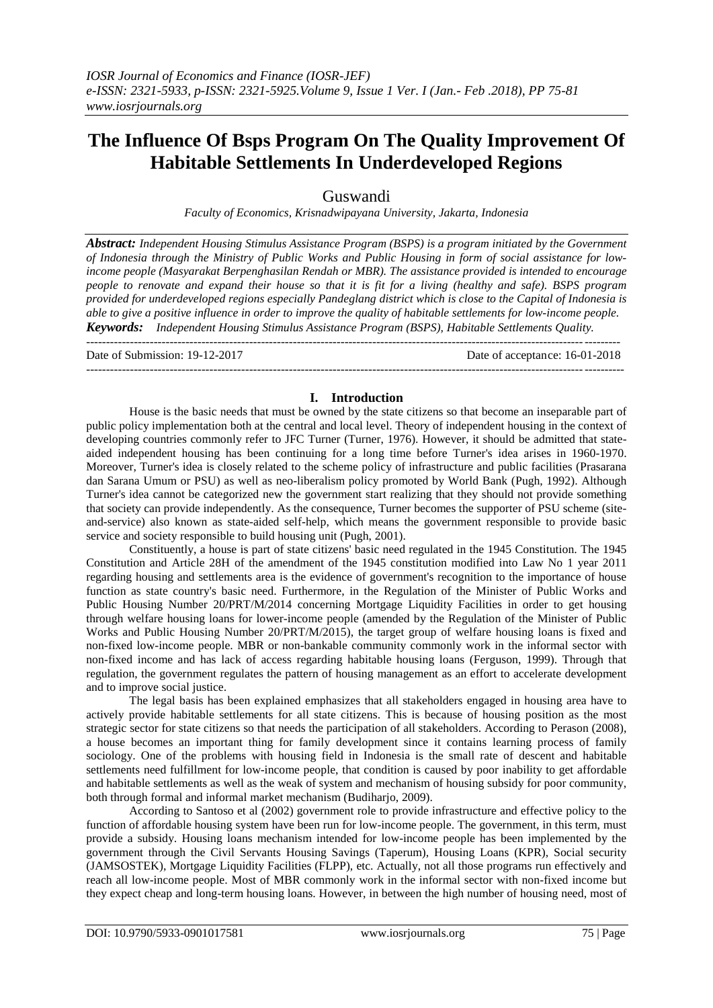# **The Influence Of Bsps Program On The Quality Improvement Of Habitable Settlements In Underdeveloped Regions**

Guswandi

*Faculty of Economics, Krisnadwipayana University, Jakarta, Indonesia*

*Abstract: Independent Housing Stimulus Assistance Program (BSPS) is a program initiated by the Government* of Indonesia through the Ministry of Public Works and Public Housing in form of social assistance for low*income people (Masyarakat Berpenghasilan Rendah or MBR). The assistance provided is intended to encourage* people to renovate and expand their house so that it is fit for a living (healthy and safe). BSPS program *provided for underdeveloped regions especially Pandeglang district which is close to the Capital of Indonesia is* able to give a positive influence in order to improve the quality of habitable settlements for low-income people. *Keywords: Independent Housing Stimulus Assistance Program (BSPS), Habitable Settlements Quality.*

 $-1-\frac{1}{2}$ 

---------------------------------------------------------------------------------------------------------------------------------------

Date of Submission: 19-12-2017 Date of acceptance: 16-01-2018

## **I. Introduction**

House is the basic needs that must be owned by the state citizens so that become an inseparable part of public policy implementation both at the central and local level. Theory of independent housing in the context of developing countries commonly refer to JFC Turner (Turner, 1976). However, it should be admitted that stateaided independent housing has been continuing for a long time before Turner's idea arises in 1960-1970. Moreover, Turner's idea is closely related to the scheme policy of infrastructure and public facilities (Prasarana dan Sarana Umum or PSU) as well as neo-liberalism policy promoted by World Bank (Pugh, 1992). Although Turner's idea cannot be categorized new the government start realizing that they should not provide something that society can provide independently. As the consequence, Turner becomes the supporter of PSU scheme (siteand-service) also known as state-aided self-help, which means the government responsible to provide basic service and society responsible to build housing unit (Pugh, 2001).

Constituently, a house is part of state citizens' basic need regulated in the 1945 Constitution. The 1945 Constitution and Article 28H of the amendment of the 1945 constitution modified into Law No 1 year 2011 regarding housing and settlements area is the evidence of government's recognition to the importance of house function as state country's basic need. Furthermore, in the Regulation of the Minister of Public Works and Public Housing Number 20/PRT/M/2014 concerning Mortgage Liquidity Facilities in order to get housing through welfare housing loans for lower-income people (amended by the Regulation of the Minister of Public Works and Public Housing Number 20/PRT/M/2015), the target group of welfare housing loans is fixed and non-fixed low-income people. MBR or non-bankable community commonly work in the informal sector with non-fixed income and has lack of access regarding habitable housing loans (Ferguson, 1999). Through that regulation, the government regulates the pattern of housing management as an effort to accelerate development and to improve social justice.

The legal basis has been explained emphasizes that all stakeholders engaged in housing area have to actively provide habitable settlements for all state citizens. This is because of housing position as the most strategic sector for state citizens so that needs the participation of all stakeholders. According to Perason (2008), a house becomes an important thing for family development since it contains learning process of family sociology. One of the problems with housing field in Indonesia is the small rate of descent and habitable settlements need fulfillment for low-income people, that condition is caused by poor inability to get affordable and habitable settlements as well as the weak of system and mechanism of housing subsidy for poor community, both through formal and informal market mechanism (Budiharjo, 2009).

According to Santoso et al (2002) government role to provide infrastructure and effective policy to the function of affordable housing system have been run for low-income people. The government, in this term, must provide a subsidy. Housing loans mechanism intended for low-income people has been implemented by the government through the Civil Servants Housing Savings (Taperum), Housing Loans (KPR), Social security (JAMSOSTEK), Mortgage Liquidity Facilities (FLPP), etc. Actually, not all those programs run effectively and reach all low-income people. Most of MBR commonly work in the informal sector with non-fixed income but they expect cheap and long-term housing loans. However, in between the high number of housing need, most of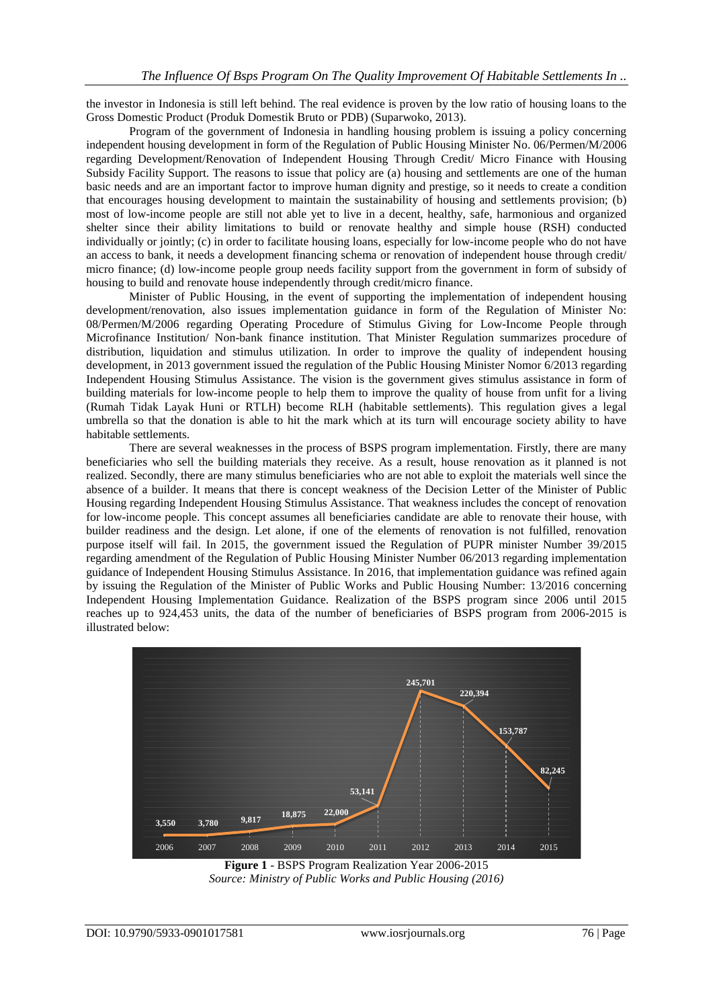the investor in Indonesia is still left behind. The real evidence is proven by the low ratio of housing loans to the Gross Domestic Product (Produk Domestik Bruto or PDB) (Suparwoko, 2013).

Program of the government of Indonesia in handling housing problem is issuing a policy concerning independent housing development in form of the Regulation of Public Housing Minister No. 06/Permen/M/2006 regarding Development/Renovation of Independent Housing Through Credit/ Micro Finance with Housing Subsidy Facility Support. The reasons to issue that policy are (a) housing and settlements are one of the human basic needs and are an important factor to improve human dignity and prestige, so it needs to create a condition that encourages housing development to maintain the sustainability of housing and settlements provision; (b) most of low-income people are still not able yet to live in a decent, healthy, safe, harmonious and organized shelter since their ability limitations to build or renovate healthy and simple house (RSH) conducted individually or jointly; (c) in order to facilitate housing loans, especially for low-income people who do not have an access to bank, it needs a development financing schema or renovation of independent house through credit/ micro finance; (d) low-income people group needs facility support from the government in form of subsidy of housing to build and renovate house independently through credit/micro finance.

Minister of Public Housing, in the event of supporting the implementation of independent housing development/renovation, also issues implementation guidance in form of the Regulation of Minister No: 08/Permen/M/2006 regarding Operating Procedure of Stimulus Giving for Low-Income People through Microfinance Institution/ Non-bank finance institution. That Minister Regulation summarizes procedure of distribution, liquidation and stimulus utilization. In order to improve the quality of independent housing development, in 2013 government issued the regulation of the Public Housing Minister Nomor 6/2013 regarding Independent Housing Stimulus Assistance. The vision is the government gives stimulus assistance in form of building materials for low-income people to help them to improve the quality of house from unfit for a living (Rumah Tidak Layak Huni or RTLH) become RLH (habitable settlements). This regulation gives a legal umbrella so that the donation is able to hit the mark which at its turn will encourage society ability to have habitable settlements.

There are several weaknesses in the process of BSPS program implementation. Firstly, there are many beneficiaries who sell the building materials they receive. As a result, house renovation as it planned is not realized. Secondly, there are many stimulus beneficiaries who are not able to exploit the materials well since the absence of a builder. It means that there is concept weakness of the Decision Letter of the Minister of Public Housing regarding Independent Housing Stimulus Assistance. That weakness includes the concept of renovation for low-income people. This concept assumes all beneficiaries candidate are able to renovate their house, with builder readiness and the design. Let alone, if one of the elements of renovation is not fulfilled, renovation purpose itself will fail. In 2015, the government issued the Regulation of PUPR minister Number 39/2015 regarding amendment of the Regulation of Public Housing Minister Number 06/2013 regarding implementation guidance of Independent Housing Stimulus Assistance. In 2016, that implementation guidance was refined again by issuing the Regulation of the Minister of Public Works and Public Housing Number: 13/2016 concerning Independent Housing Implementation Guidance. Realization of the BSPS program since 2006 until 2015 reaches up to 924,453 units, the data of the number of beneficiaries of BSPS program from 2006-2015 is illustrated below:



**Figure 1** - BSPS Program Realization Year 2006-2015 *Source: Ministry of Public Works and Public Housing (2016)*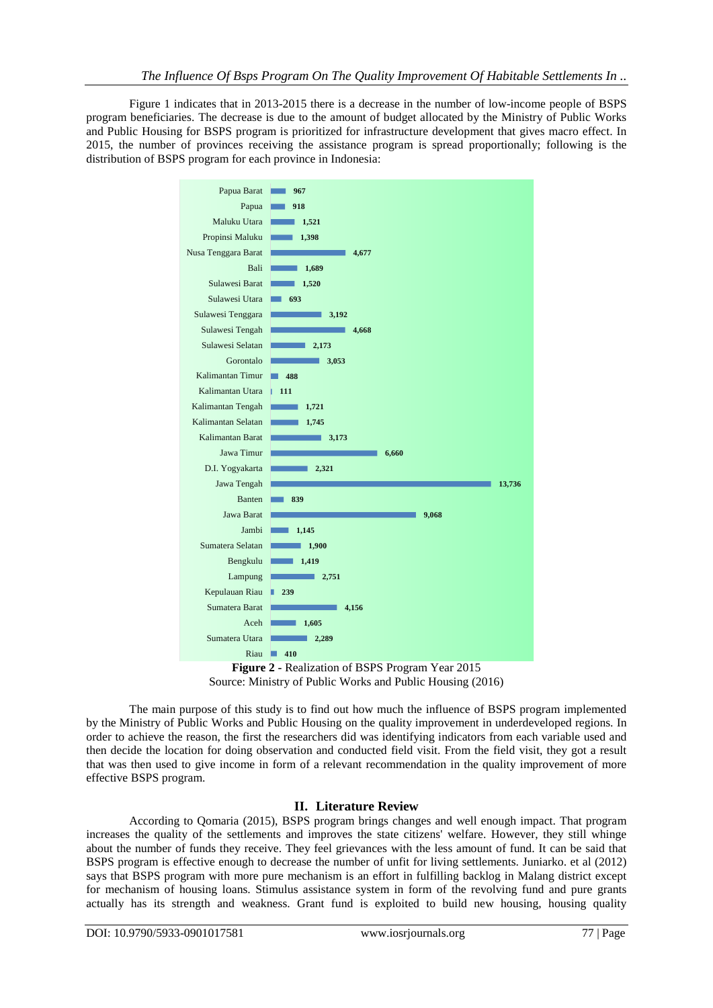Figure 1 indicates that in 2013-2015 there is a decrease in the number of low-income people of BSPS program beneficiaries. The decrease is due to the amount of budget allocated by the Ministry of Public Works and Public Housing for BSPS program is prioritized for infrastructure development that gives macro effect. In 2015, the number of provinces receiving the assistance program is spread proportionally; following is the distribution of BSPS program for each province in Indonesia:



**Figure 2 -** Realization of BSPS Program Year 2015 Source: Ministry of Public Works and Public Housing (2016)

The main purpose of this study is to find out how much the influence of BSPS program implemented by the Ministry of Public Works and Public Housing on the quality improvement in underdeveloped regions. In order to achieve the reason, the first the researchers did was identifying indicators from each variable used and then decide the location for doing observation and conducted field visit. From the field visit, they got a result that was then used to give income in form of a relevant recommendation in the quality improvement of more effective BSPS program.

## **II. Literature Review**

According to Qomaria (2015), BSPS program brings changes and well enough impact. That program increases the quality of the settlements and improves the state citizens' welfare. However, they still whinge about the number of funds they receive. They feel grievances with the less amount of fund. It can be said that BSPS program is effective enough to decrease the number of unfit for living settlements. Juniarko. et al (2012) says that BSPS program with more pure mechanism is an effort in fulfilling backlog in Malang district except for mechanism of housing loans. Stimulus assistance system in form of the revolving fund and pure grants actually has its strength and weakness. Grant fund is exploited to build new housing, housing quality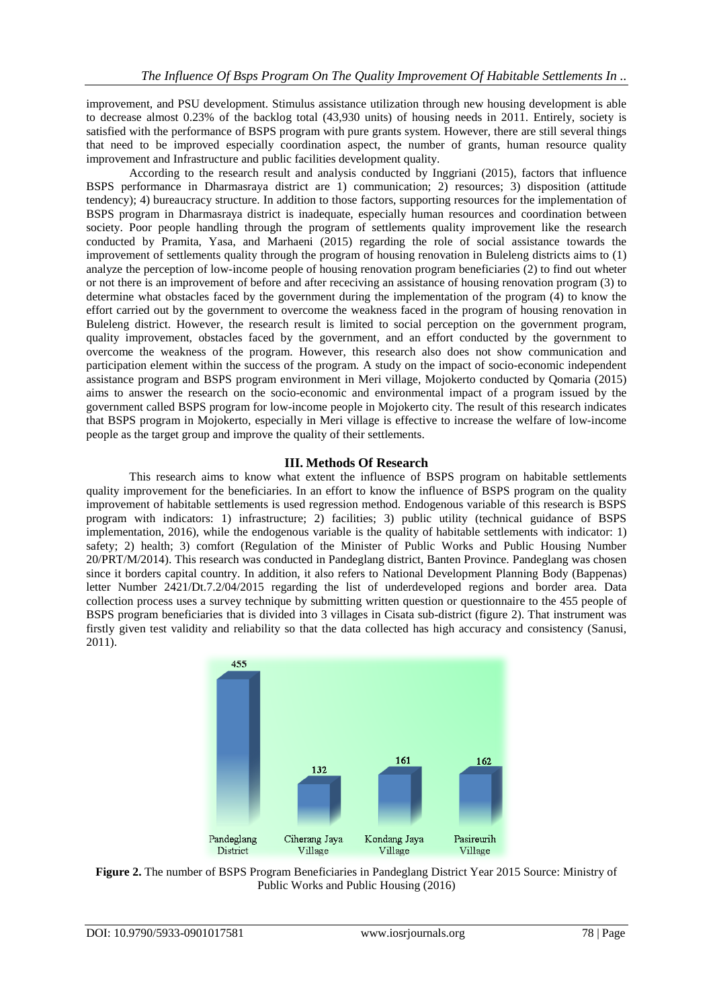improvement, and PSU development. Stimulus assistance utilization through new housing development is able to decrease almost 0.23% of the backlog total (43,930 units) of housing needs in 2011. Entirely, society is satisfied with the performance of BSPS program with pure grants system. However, there are still several things that need to be improved especially coordination aspect, the number of grants, human resource quality improvement and Infrastructure and public facilities development quality.

According to the research result and analysis conducted by Inggriani (2015), factors that influence BSPS performance in Dharmasraya district are 1) communication; 2) resources; 3) disposition (attitude tendency); 4) bureaucracy structure. In addition to those factors, supporting resources for the implementation of BSPS program in Dharmasraya district is inadequate, especially human resources and coordination between society. Poor people handling through the program of settlements quality improvement like the research conducted by Pramita, Yasa, and Marhaeni (2015) regarding the role of social assistance towards the improvement of settlements quality through the program of housing renovation in Buleleng districts aims to (1) analyze the perception of low-income people of housing renovation program beneficiaries (2) to find out wheter or not there is an improvement of before and after receciving an assistance of housing renovation program (3) to determine what obstacles faced by the government during the implementation of the program (4) to know the effort carried out by the government to overcome the weakness faced in the program of housing renovation in Buleleng district. However, the research result is limited to social perception on the government program, quality improvement, obstacles faced by the government, and an effort conducted by the government to overcome the weakness of the program. However, this research also does not show communication and participation element within the success of the program. A study on the impact of socio-economic independent assistance program and BSPS program environment in Meri village, Mojokerto conducted by Qomaria (2015) aims to answer the research on the socio-economic and environmental impact of a program issued by the government called BSPS program for low-income people in Mojokerto city. The result of this research indicates that BSPS program in Mojokerto, especially in Meri village is effective to increase the welfare of low-income people as the target group and improve the quality of their settlements.

## **III. Methods Of Research**

This research aims to know what extent the influence of BSPS program on habitable settlements quality improvement for the beneficiaries. In an effort to know the influence of BSPS program on the quality improvement of habitable settlements is used regression method. Endogenous variable of this research is BSPS program with indicators: 1) infrastructure; 2) facilities; 3) public utility (technical guidance of BSPS implementation, 2016), while the endogenous variable is the quality of habitable settlements with indicator: 1) safety; 2) health; 3) comfort (Regulation of the Minister of Public Works and Public Housing Number 20/PRT/M/2014). This research was conducted in Pandeglang district, Banten Province. Pandeglang was chosen since it borders capital country. In addition, it also refers to National Development Planning Body (Bappenas) letter Number 2421/Dt.7.2/04/2015 regarding the list of underdeveloped regions and border area. Data collection process uses a survey technique by submitting written question or questionnaire to the 455 people of BSPS program beneficiaries that is divided into 3 villages in Cisata sub-district (figure 2). That instrument was firstly given test validity and reliability so that the data collected has high accuracy and consistency (Sanusi, 2011).



**Figure 2.** The number of BSPS Program Beneficiaries in Pandeglang District Year 2015 Source: Ministry of Public Works and Public Housing (2016)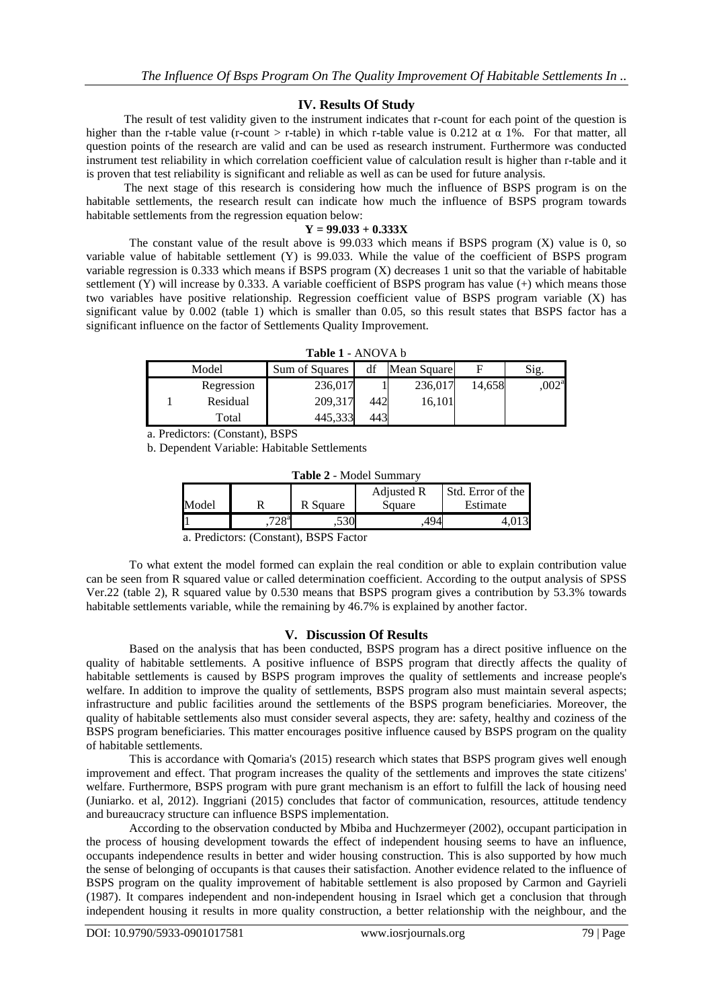### **IV. Results Of Study**

The result of test validity given to the instrument indicates that r-count for each point of the question is higher than the r-table value (r-count > r-table) in which r-table value is 0.212 at  $\alpha$  1%. For that matter, all question points of the research are valid and can be used as research instrument. Furthermore was conducted instrument test reliability in which correlation coefficient value of calculation result is higher than r-table and it is proven that test reliability is significant and reliable as well as can be used for future analysis.

The next stage of this research is considering how much the influence of BSPS program is on the habitable settlements, the research result can indicate how much the influence of BSPS program towards habitable settlements from the regression equation below:

#### **Y = 99.033 + 0.333X**

The constant value of the result above is 99.033 which means if BSPS program (X) value is 0, so variable value of habitable settlement (Y) is 99.033. While the value of the coefficient of BSPS program variable regression is 0.333 which means if BSPS program (X) decreases 1 unit so that the variable of habitable settlement (Y) will increase by 0.333. A variable coefficient of BSPS program has value (+) which means those two variables have positive relationship. Regression coefficient value of BSPS program variable (X) has significant value by 0.002 (table 1) which is smaller than 0.05, so this result states that BSPS factor has a significant influence on the factor of Settlements Quality Improvement.

| Model |            | Sum of Squares | df  | Mean Square |        | Sig.               |
|-------|------------|----------------|-----|-------------|--------|--------------------|
|       | Regression | 236,017        |     | 236,017     | 14.658 | 0.002 <sup>a</sup> |
|       | Residual   | 209,317        | 442 | 16,101      |        |                    |
|       | Total      | 445,333        | 443 |             |        |                    |

a. Predictors: (Constant), BSPS

b. Dependent Variable: Habitable Settlements

| Table 2 - Model Summary |  |
|-------------------------|--|
|-------------------------|--|

|       |                  |          | Adjusted R | Std. Error of the |
|-------|------------------|----------|------------|-------------------|
| Model |                  | R Square | Square     | Estimate          |
|       | 700 <sup>a</sup> | こつへ      |            |                   |

a. Predictors: (Constant), BSPS Factor

To what extent the model formed can explain the real condition or able to explain contribution value can be seen from R squared value or called determination coefficient. According to the output analysis of SPSS Ver.22 (table 2), R squared value by 0.530 means that BSPS program gives a contribution by 53.3% towards habitable settlements variable, while the remaining by 46.7% is explained by another factor.

#### **V. Discussion Of Results**

Based on the analysis that has been conducted, BSPS program has a direct positive influence on the quality of habitable settlements. A positive influence of BSPS program that directly affects the quality of habitable settlements is caused by BSPS program improves the quality of settlements and increase people's welfare. In addition to improve the quality of settlements, BSPS program also must maintain several aspects; infrastructure and public facilities around the settlements of the BSPS program beneficiaries. Moreover, the quality of habitable settlements also must consider several aspects, they are: safety, healthy and coziness of the BSPS program beneficiaries. This matter encourages positive influence caused by BSPS program on the quality of habitable settlements.

This is accordance with Qomaria's (2015) research which states that BSPS program gives well enough improvement and effect. That program increases the quality of the settlements and improves the state citizens' welfare. Furthermore, BSPS program with pure grant mechanism is an effort to fulfill the lack of housing need (Juniarko. et al, 2012). Inggriani (2015) concludes that factor of communication, resources, attitude tendency and bureaucracy structure can influence BSPS implementation.

According to the observation conducted by Mbiba and Huchzermeyer (2002), occupant participation in the process of housing development towards the effect of independent housing seems to have an influence, occupants independence results in better and wider housing construction. This is also supported by how much the sense of belonging of occupants is that causes their satisfaction. Another evidence related to the influence of BSPS program on the quality improvement of habitable settlement is also proposed by Carmon and Gayrieli (1987). It compares independent and non-independent housing in Israel which get a conclusion that through independent housing it results in more quality construction, a better relationship with the neighbour, and the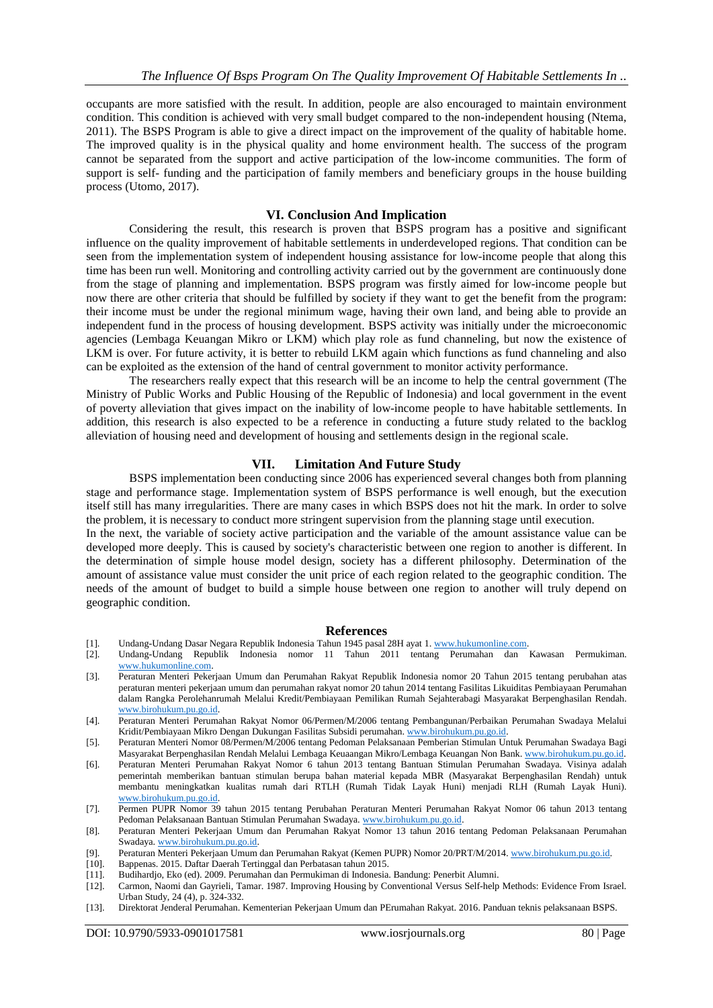occupants are more satisfied with the result. In addition, people are also encouraged to maintain environment condition. This condition is achieved with very small budget compared to the non-independent housing (Ntema, 2011). The BSPS Program is able to give a direct impact on the improvement of the quality of habitable home. The improved quality is in the physical quality and home environment health. The success of the program cannot be separated from the support and active participation of the low-income communities. The form of support is self- funding and the participation of family members and beneficiary groups in the house building process (Utomo, 2017).

### **VI. Conclusion And Implication**

Considering the result, this research is proven that BSPS program has a positive and significant influence on the quality improvement of habitable settlements in underdeveloped regions. That condition can be seen from the implementation system of independent housing assistance for low-income people that along this time has been run well. Monitoring and controlling activity carried out by the government are continuously done from the stage of planning and implementation. BSPS program was firstly aimed for low-income people but now there are other criteria that should be fulfilled by society if they want to get the benefit from the program: their income must be under the regional minimum wage, having their own land, and being able to provide an independent fund in the process of housing development. BSPS activity was initially under the microeconomic agencies (Lembaga Keuangan Mikro or LKM) which play role as fund channeling, but now the existence of LKM is over. For future activity, it is better to rebuild LKM again which functions as fund channeling and also can be exploited as the extension of the hand of central government to monitor activity performance.

The researchers really expect that this research will be an income to help the central government (The Ministry of Public Works and Public Housing of the Republic of Indonesia) and local government in the event of poverty alleviation that gives impact on the inability of low-income people to have habitable settlements. In addition, this research is also expected to be a reference in conducting a future study related to the backlog alleviation of housing need and development of housing and settlements design in the regional scale.

## **VII. Limitation And Future Study**

BSPS implementation been conducting since 2006 has experienced several changes both from planning stage and performance stage. Implementation system of BSPS performance is well enough, but the execution itself still has many irregularities. There are many cases in which BSPS does not hit the mark. In order to solve the problem, it is necessary to conduct more stringent supervision from the planning stage until execution.

In the next, the variable of society active participation and the variable of the amount assistance value can be developed more deeply. This is caused by society's characteristic between one region to another is different. In the determination of simple house model design, society has a different philosophy. Determination of the amount of assistance value must consider the unit price of each region related to the geographic condition. The needs of the amount of budget to build a simple house between one region to another will truly depend on geographic condition.

#### **References**

- [1]. Undang-Undang Dasar Negara Republik Indonesia Tahun 1945 pasal 28H ayat 1. [www.hukumonline.com.](http://www.hukumonline.com/)
- [2]. Undang-Undang Republik Indonesia nomor 11 Tahun 2011 tentang Perumahan dan Kawasan Permukiman. [www.hukumonline.com.](http://www.hukumonline.com/)
- [3]. Peraturan Menteri Pekerjaan Umum dan Perumahan Rakyat Republik Indonesia nomor 20 Tahun 2015 tentang perubahan atas peraturan menteri pekerjaan umum dan perumahan rakyat nomor 20 tahun 2014 tentang Fasilitas Likuiditas Pembiayaan Perumahan dalam Rangka Perolehanrumah Melalui Kredit/Pembiayaan Pemilikan Rumah Sejahterabagi Masyarakat Berpenghasilan Rendah. [www.birohukum.pu.go.id.](http://www.birohukum.pu.go.id/)
- [4]. Peraturan Menteri Perumahan Rakyat Nomor 06/Permen/M/2006 tentang Pembangunan/Perbaikan Perumahan Swadaya Melalui Kridit/Pembiayaan Mikro Dengan Dukungan Fasilitas Subsidi perumahan. [www.birohukum.pu.go.id.](http://www.birohukum.pu.go.id/)
- [5]. Peraturan Menteri Nomor 08/Permen/M/2006 tentang Pedoman Pelaksanaan Pemberian Stimulan Untuk Perumahan Swadaya Bagi Masyarakat Berpenghasilan Rendah Melalui Lembaga Keuaangan Mikro/Lembaga Keuangan Non Bank. [www.birohukum.pu.go.id.](http://www.birohukum.pu.go.id/)
- [6]. Peraturan Menteri Perumahan Rakyat Nomor 6 tahun 2013 tentang Bantuan Stimulan Perumahan Swadaya. Visinya adalah pemerintah memberikan bantuan stimulan berupa bahan material kepada MBR (Masyarakat Berpenghasilan Rendah) untuk membantu meningkatkan kualitas rumah dari RTLH (Rumah Tidak Layak Huni) menjadi RLH (Rumah Layak Huni). [www.birohukum.pu.go.id.](http://www.birohukum.pu.go.id/)
- [7]. Permen PUPR Nomor 39 tahun 2015 tentang Perubahan Peraturan Menteri Perumahan Rakyat Nomor 06 tahun 2013 tentang Pedoman Pelaksanaan Bantuan Stimulan Perumahan Swadaya. [www.birohukum.pu.go.id.](http://www.birohukum.pu.go.id/)
- [8]. Peraturan Menteri Pekerjaan Umum dan Perumahan Rakyat Nomor 13 tahun 2016 tentang Pedoman Pelaksanaan Perumahan Swadaya. [www.birohukum.pu.go.id.](http://www.birohukum.pu.go.id/)
- [9]. Peraturan Menteri Pekerjaan Umum dan Perumahan Rakyat (Kemen PUPR) Nomor 20/PRT/M/2014. [www.birohukum.pu.go.id.](http://www.birohukum.pu.go.id/)
- [10]. Bappenas. 2015. Daftar Daerah Tertinggal dan Perbatasan tahun 2015.
- [11]. Budihardjo, Eko (ed). 2009. Perumahan dan Permukiman di Indonesia. Bandung: Penerbit Alumni.
- [12]. Carmon, Naomi dan Gayrieli, Tamar. 1987. Improving Housing by Conventional Versus Self-help Methods: Evidence From Israel. Urban Study, 24 (4), p. 324-332.
- [13]. Direktorat Jenderal Perumahan. Kementerian Pekerjaan Umum dan PErumahan Rakyat. 2016. Panduan teknis pelaksanaan BSPS.